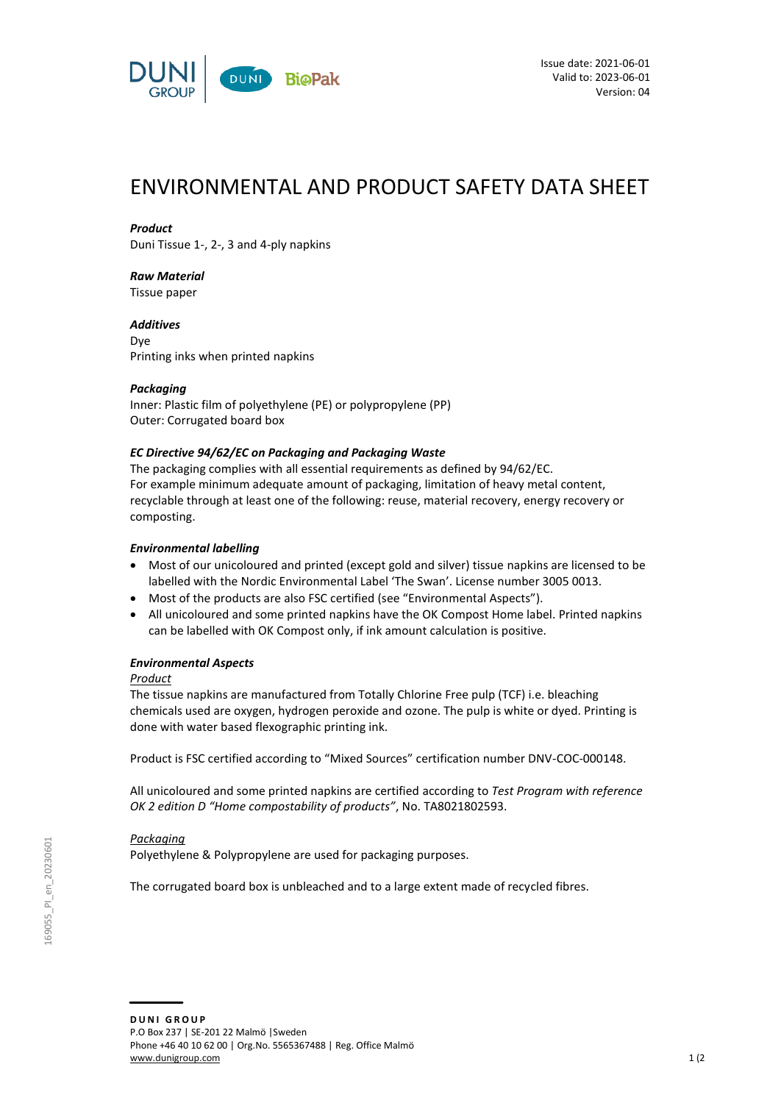

# ENVIRONMENTAL AND PRODUCT SAFETY DATA SHEET

## *Product*

Duni Tissue 1-, 2-, 3 and 4-ply napkins

## *Raw Material*

Tissue paper

*Additives* Dye Printing inks when printed napkins

## *Packaging*

Inner: Plastic film of polyethylene (PE) or polypropylene (PP) Outer: Corrugated board box

## *EC Directive 94/62/EC on Packaging and Packaging Waste*

The packaging complies with all essential requirements as defined by 94/62/EC. For example minimum adequate amount of packaging, limitation of heavy metal content, recyclable through at least one of the following: reuse, material recovery, energy recovery or composting.

## *Environmental labelling*

- Most of our unicoloured and printed (except gold and silver) tissue napkins are licensed to be labelled with the Nordic Environmental Label 'The Swan'. License number 3005 0013.
- Most of the products are also FSC certified (see "Environmental Aspects").
- All unicoloured and some printed napkins have the OK Compost Home label. Printed napkins can be labelled with OK Compost only, if ink amount calculation is positive.

## *Environmental Aspects*

## *Product*

The tissue napkins are manufactured from Totally Chlorine Free pulp (TCF) i.e. bleaching chemicals used are oxygen, hydrogen peroxide and ozone. The pulp is white or dyed. Printing is done with water based flexographic printing ink.

Product is FSC certified according to "Mixed Sources" certification number DNV-COC-000148.

All unicoloured and some printed napkins are certified according to *Test Program with reference OK 2 edition D "Home compostability of products"*, No. TA8021802593.

## *Packaging*

Polyethylene & Polypropylene are used for packaging purposes.

The corrugated board box is unbleached and to a large extent made of recycled fibres.